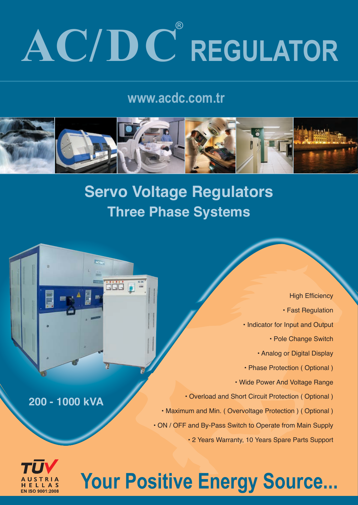# $AC/DC$ <sup>®</sup> REGULATOR

### www.acdc.com.tr



## **Servo Voltage Regulators Three Phase Systems**

**HEEL High Efficiency** • Fast Regulation • Indicator for Input and Output • Pole Change Switch • Analog or Digital Display • Phase Protection ( Optional ) • Wide Power And Voltage Range • Overload and Short Circuit Protection ( Optional ) **kVA 1000 - 200** • Maximum and Min. ( Overvoltage Protection ) ( Optional ) • ON / OFF and By-Pass Switch to Operate from Main Supply • 2 Years Warranty, 10 Years Spare Parts Support



# Your Positive Energy Source...